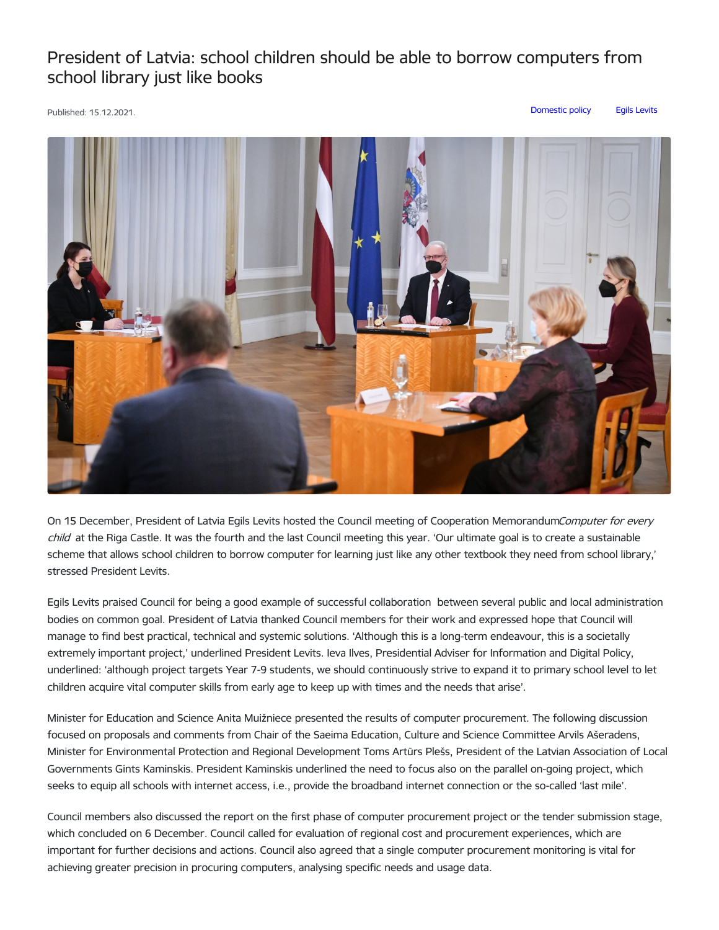## President of Latvia: school children should be able to borrow computers from school library just like books

Published: 15.12.2021. [Domestic](https://www.president.lv/en/articles?category%255B1323%255D=1323) policy Egils [Levits](https://www.president.lv/en/articles?category%255B276%255D=276)



On 15 December, President of Latvia Egils Levits hosted the Council meeting of Cooperation MemorandumComputer for every child at the Riga Castle. It was the fourth and the last Council meeting this year. 'Our ultimate goal is to create a sustainable scheme that allows school children to borrow computer for learning just like any other textbook they need from school library,' stressed President Levits.

Egils Levits praised Council for being a good example of successful collaboration between several public and local administration bodies on common goal. President of Latvia thanked Council members for their work and expressed hope that Council will manage to find best practical, technical and systemic solutions. 'Although this is a long-term endeavour, this is a societally extremely important project,' underlined President Levits. Ieva Ilves, Presidential Adviser for Information and Digital Policy, underlined: 'although project targets Year 7-9 students, we should continuously strive to expand it to primary school level to let children acquire vital computer skills from early age to keep up with times and the needs that arise'.

Minister for Education and Science Anita Muižniece presented the results of computer procurement. The following discussion focused on proposals and comments from Chair of the Saeima Education, Culture and Science Committee Arvils Ašeradens, Minister for Environmental Protection and Regional Development Toms Artūrs Plešs, President of the Latvian Association of Local Governments Gints Kaminskis. President Kaminskis underlined the need to focus also on the parallel on-going project, which seeks to equip all schools with internet access, i.e., provide the broadband internet connection or the so-called 'last mile'.

Council members also discussed the report on the first phase of computer procurement project or the tender submission stage, which concluded on 6 December. Council called for evaluation of regional cost and procurement experiences, which are important for further decisions and actions. Council also agreed that a single computer procurement monitoring is vital for achieving greater precision in procuring computers, analysing specific needs and usage data.